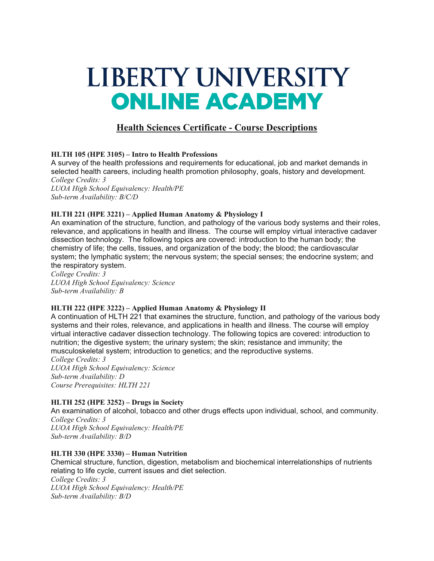# LIBERTY UNIVERSITY **ONLINE ACADEMY**

## **Health Sciences Certificate - Course Descriptions**

### **HLTH 105 (HPE 3105) – Intro to Health Professions**

A survey of the health professions and requirements for educational, job and market demands in selected health careers, including health promotion philosophy, goals, history and development. *College Credits: 3*

*LUOA High School Equivalency: Health/PE Sub-term Availability: B/C/D*

### **HLTH 221 (HPE 3221) – Applied Human Anatomy & Physiology I**

An examination of the structure, function, and pathology of the various body systems and their roles, relevance, and applications in health and illness. The course will employ virtual interactive cadaver dissection technology. The following topics are covered: introduction to the human body; the chemistry of life; the cells, tissues, and organization of the body; the blood; the cardiovascular system; the lymphatic system; the nervous system; the special senses; the endocrine system; and the respiratory system.

*College Credits: 3 LUOA High School Equivalency: Science Sub-term Availability: B*

### **HLTH 222 (HPE 3222) – Applied Human Anatomy & Physiology II**

A continuation of HLTH 221 that examines the structure, function, and pathology of the various body systems and their roles, relevance, and applications in health and illness. The course will employ virtual interactive cadaver dissection technology. The following topics are covered: introduction to nutrition; the digestive system; the urinary system; the skin; resistance and immunity; the musculoskeletal system; introduction to genetics; and the reproductive systems.

*College Credits: 3 LUOA High School Equivalency: Science Sub-term Availability: D Course Prerequisites: HLTH 221*

### **HLTH 252 (HPE 3252) – Drugs in Society**

An examination of alcohol, tobacco and other drugs effects upon individual, school, and community. *College Credits: 3 LUOA High School Equivalency: Health/PE Sub-term Availability: B/D*

### **HLTH 330 (HPE 3330) – Human Nutrition**

Chemical structure, function, digestion, metabolism and biochemical interrelationships of nutrients relating to life cycle, current issues and diet selection.

*College Credits: 3 LUOA High School Equivalency: Health/PE Sub-term Availability: B/D*